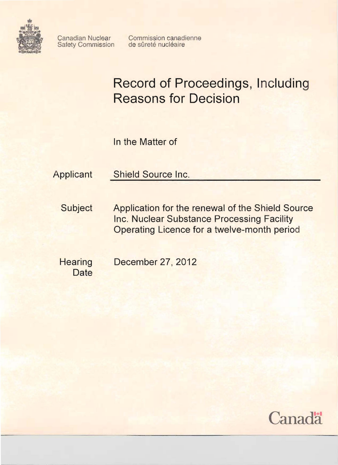

Safety Commission

Canadian Nuclear Commission canadienne<br>Safety Commission de sûreté nucléaire

# **Record of Proceedings, Including Reasons for Decision**

In the Matter of

Applicant Shield Source Inc.

Subject Application for the renewal of the Shield Source Inc. Nuclear Substance Processing Facility Operating Licence for a twelve-month period

**Date** 

Hearing December 27, 2012

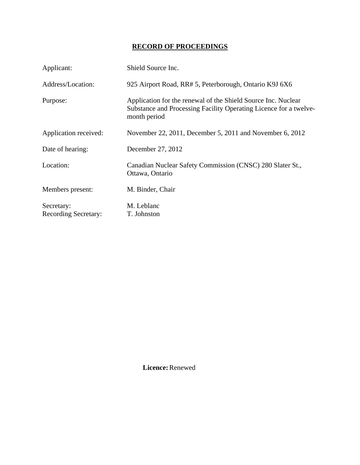# **RECORD OF PROCEEDINGS**

| Applicant:                                | Shield Source Inc.                                                                                                                                 |
|-------------------------------------------|----------------------------------------------------------------------------------------------------------------------------------------------------|
| Address/Location:                         | 925 Airport Road, RR# 5, Peterborough, Ontario K9J 6X6                                                                                             |
| Purpose:                                  | Application for the renewal of the Shield Source Inc. Nuclear<br>Substance and Processing Facility Operating Licence for a twelve-<br>month period |
| Application received:                     | November 22, 2011, December 5, 2011 and November 6, 2012                                                                                           |
| Date of hearing:                          | December 27, 2012                                                                                                                                  |
| Location:                                 | Canadian Nuclear Safety Commission (CNSC) 280 Slater St.,<br>Ottawa, Ontario                                                                       |
| Members present:                          | M. Binder, Chair                                                                                                                                   |
| Secretary:<br><b>Recording Secretary:</b> | M. Leblanc<br>T. Johnston                                                                                                                          |

 **Licence:** Renewed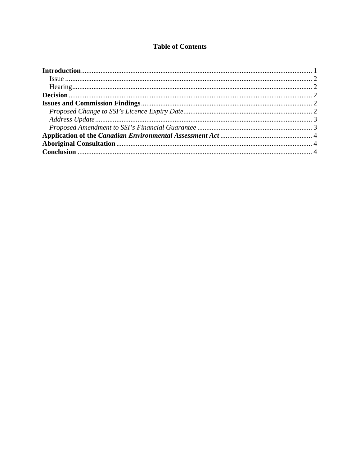# **Table of Contents**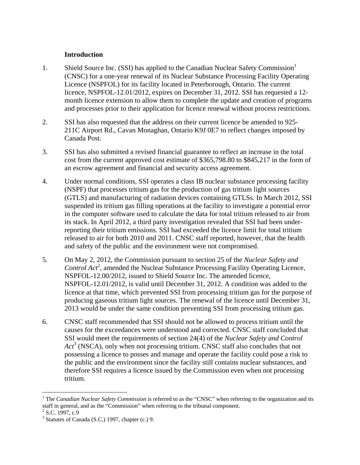#### **Introduction**

- 1. Shield Source Inc. (SSI) has applied to the Canadian Nuclear Safety Commission<sup>1</sup> (CNSC) for a one-year renewal of its Nuclear Substance Processing Facility Operating Licence (NSPFOL) for its facility located in Peterborough, Ontario. The current licence, NSPFOL-12.01/2012, expires on December 31, 2012. SSI has requested a 12 month licence extension to allow them to complete the update and creation of programs and processes prior to their application for licence renewal without process restrictions.
- 2. SSI has also requested that the address on their current licence be amended to 925- 211C Airport Rd., Cavan Monaghan, Ontario K9J 0E7 to reflect changes imposed by Canada Post.
- 3. SSI has also submitted a revised financial guarantee to reflect an increase in the total cost from the current approved cost estimate of \$365,798.80 to \$845,217 in the form of an escrow agreement and financial and security access agreement.
- 4. Under normal conditions, SSI operates a class IB nuclear substance processing facility (NSPF) that processes tritium gas for the production of gas tritium light sources (GTLS) and manufacturing of radiation devices containing GTLSs. In March 2012, SSI suspended its tritium gas filling operations at the facility to investigate a potential error in the computer software used to calculate the data for total tritium released to air from its stack. In April 2012, a third party investigation revealed that SSI had been underreporting their tritium emissions. SSI had exceeded the licence limit for total tritium released to air for both 2010 and 2011. CNSC staff reported, however, that the health and safety of the public and the environment were not compromised.
- 5. On May 2, 2012, the Commission pursuant to section 25 of the *Nuclear Safety and*  Control Act<sup>2</sup>, amended the Nuclear Substance Processing Facility Operating Licence, NSPFOL-12.00/2012, issued to Shield Source Inc. The amended licence, NSPFOL-12.01/2012, is valid until December 31, 2012. A condition was added to the licence at that time, which prevented SSI from processing tritium gas for the purpose of producing gaseous tritium light sources. The renewal of the licence until December 31, 2013 would be under the same condition preventing SSI from processing tritium gas.
- 6. CNSC staff recommended that SSI should not be allowed to process tritium until the causes for the exceedances were understood and corrected. CNSC staff concluded that SSI would meet the requirements of section 24(4) of the *Nuclear Safety and Control Act*<sup>3</sup> (NSCA), only when not processing tritium. CNSC staff also concludes that not possessing a licence to posses and manage and operate the facility could pose a risk to the public and the environment since the facility still contains nuclear substances, and therefore SSI requires a licence issued by the Commission even when not processing tritium.

<u>.</u>

<sup>&</sup>lt;sup>1</sup> The *Canadian Nuclear Safety Commission* is referred to as the "CNSC" when referring to the organization and its staff in general, and as the "Commission" when referring to the tribunal component.

 $2$  S.C. 1997, c.9

 $3$  Statutes of Canada (S.C.) 1997, chapter (c.) 9.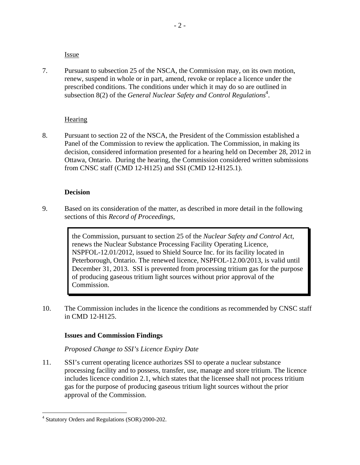Issue

7. Pursuant to subsection 25 of the NSCA, the Commission may, on its own motion, renew, suspend in whole or in part, amend, revoke or replace a licence under the prescribed conditions. The conditions under which it may do so are outlined in subsection 8(2) of the *General Nuclear Safety and Control Regulations*<sup>4</sup>.

#### **Hearing**

8. Pursuant to section 22 of the NSCA, the President of the Commission established a Panel of the Commission to review the application. The Commission, in making its decision, considered information presented for a hearing held on December 28, 2012 in Ottawa, Ontario. During the hearing, the Commission considered written submissions from CNSC staff (CMD 12-H125) and SSI (CMD 12-H125.1).

#### **Decision**

9. Based on its consideration of the matter, as described in more detail in the following sections of this *Record of Proceedings*,

> the Commission, pursuant to section 25 of the *Nuclear Safety and Control Act*, renews the Nuclear Substance Processing Facility Operating Licence, NSPFOL-12.01/2012, issued to Shield Source Inc. for its facility located in Peterborough, Ontario. The renewed licence, NSPFOL-12.00/2013, is valid until December 31, 2013. SSI is prevented from processing tritium gas for the purpose of producing gaseous tritium light sources without prior approval of the Commission.

10. The Commission includes in the licence the conditions as recommended by CNSC staff in CMD 12-H125.

#### **Issues and Commission Findings**

*Proposed Change to SSI's Licence Expiry Date*

11. SSI's current operating licence authorizes SSI to operate a nuclear substance processing facility and to possess, transfer, use, manage and store tritium. The licence includes licence condition 2.1, which states that the licensee shall not process tritium gas for the purpose of producing gaseous tritium light sources without the prior approval of the Commission.

 $\overline{a}$ 

<sup>&</sup>lt;sup>4</sup> Statutory Orders and Regulations (SOR)/2000-202.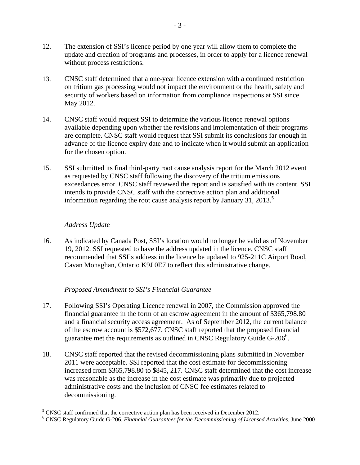- 12. The extension of SSI's licence period by one year will allow them to complete the update and creation of programs and processes, in order to apply for a licence renewal without process restrictions.
- 13. CNSC staff determined that a one-year licence extension with a continued restriction on tritium gas processing would not impact the environment or the health, safety and security of workers based on information from compliance inspections at SSI since May 2012.
- 14. CNSC staff would request SSI to determine the various licence renewal options available depending upon whether the revisions and implementation of their programs are complete. CNSC staff would request that SSI submit its conclusions far enough in advance of the licence expiry date and to indicate when it would submit an application for the chosen option.
- 15. SSI submitted its final third-party root cause analysis report for the March 2012 event as requested by CNSC staff following the discovery of the tritium emissions exceedances error. CNSC staff reviewed the report and is satisfied with its content. SSI intends to provide CNSC staff with the corrective action plan and additional information regarding the root cause analysis report by January 31, 2013.<sup>5</sup>

# *Address Update*

16. As indicated by Canada Post, SSI's location would no longer be valid as of November 19, 2012. SSI requested to have the address updated in the licence. CNSC staff recommended that SSI's address in the licence be updated to 925-211C Airport Road, Cavan Monaghan, Ontario K9J 0E7 to reflect this administrative change.

# *Proposed Amendment to SSI's Financial Guarantee*

- 17. Following SSI's Operating Licence renewal in 2007, the Commission approved the financial guarantee in the form of an escrow agreement in the amount of \$365,798.80 and a financial security access agreement. As of September 2012, the current balance of the escrow account is \$572,677. CNSC staff reported that the proposed financial guarantee met the requirements as outlined in CNSC Regulatory Guide G-206 $\mathrm{^{6}}$ .
- 18. CNSC staff reported that the revised decommissioning plans submitted in November 2011 were acceptable. SSI reported that the cost estimate for decommissioning increased from \$365,798.80 to \$845, 217. CNSC staff determined that the cost increase was reasonable as the increase in the cost estimate was primarily due to projected administrative costs and the inclusion of CNSC fee estimates related to decommissioning.

<sup>&</sup>lt;sup>5</sup> CNSC staff confirmed that the corrective action plan has been received in December 2012.

CNSC Regulatory Guide G-206, *Financial Guarantees for the Decommissioning of Licensed Activities*, June 2000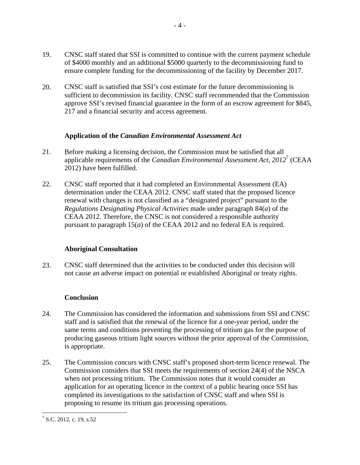- 19. CNSC staff stated that SSI is committed to continue with the current payment schedule of \$4000 monthly and an additional \$5000 quarterly to the decommissioning fund to ensure complete funding for the decommissioning of the facility by December 2017.
- 20. CNSC staff is satisfied that SSI's cost estimate for the future decommissioning is sufficient to decommission its facility. CNSC staff recommended that the Commission approve SSI's revised financial guarantee in the form of an escrow agreement for \$845, 217 and a financial security and access agreement.

#### **Application of the** *Canadian Environmental Assessment Act*

- 21. Before making a licensing decision, the Commission must be satisfied that all applicable requirements of the *Canadian Environmental Assessment Act, 2012*<sup>7</sup> (CEAA 2012) have been fulfilled.
- 22. CNSC staff reported that it had completed an Environmental Assessment (EA) determination under the CEAA 2012. CNSC staff stated that the proposed licence renewal with changes is not classified as a "designated project" pursuant to the *Regulations Designating Physical Activities* made under paragraph 84(*a*) of the CEAA 2012. Therefore, the CNSC is not considered a responsible authority pursuant to paragraph 15(*a*) of the CEAA 2012 and no federal EA is required.

# **Aboriginal Consultation**

23. CNSC staff determined that the activities to be conducted under this decision will not cause an adverse impact on potential or established Aboriginal or treaty rights.

# **Conclusion**

- 24. The Commission has considered the information and submissions from SSI and CNSC staff and is satisfied that the renewal of the licence for a one-year period, under the same terms and conditions preventing the processing of tritium gas for the purpose of producing gaseous tritium light sources without the prior approval of the Commission, is appropriate.
- 25. The Commission concurs with CNSC staff's proposed short-term licence renewal. The Commission considers that SSI meets the requirements of section 24(4) of the NSCA when not processing tritium. The Commission notes that it would consider an application for an operating licence in the context of a public hearing once SSI has completed its investigations to the satisfaction of CNSC staff and when SSI is proposing to resume its tritium gas processing operations.

<u>.</u>

 $<sup>7</sup>$  S.C. 2012, c. 19, s.52</sup>